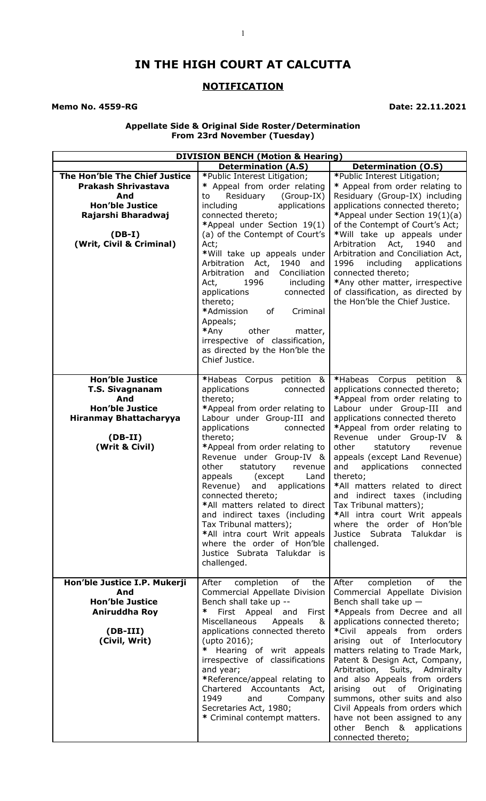# **IN THE HIGH COURT AT CALCUTTA**

## **NOTIFICATION**

**Memo No. 4559-RG** Date: 22.11.2021

#### **Appellate Side & Original Side Roster/Determination From 23rd November (Tuesday)**

| <b>DIVISION BENCH (Motion &amp; Hearing)</b>                                                                                                               |                                                                                                                                                                                                                                                                                                                                                                                                                                                                                                                                                                              |                                                                                                                                                                                                                                                                                                                                                                                                                                                                                                                                                                             |
|------------------------------------------------------------------------------------------------------------------------------------------------------------|------------------------------------------------------------------------------------------------------------------------------------------------------------------------------------------------------------------------------------------------------------------------------------------------------------------------------------------------------------------------------------------------------------------------------------------------------------------------------------------------------------------------------------------------------------------------------|-----------------------------------------------------------------------------------------------------------------------------------------------------------------------------------------------------------------------------------------------------------------------------------------------------------------------------------------------------------------------------------------------------------------------------------------------------------------------------------------------------------------------------------------------------------------------------|
|                                                                                                                                                            | <b>Determination (A.S)</b>                                                                                                                                                                                                                                                                                                                                                                                                                                                                                                                                                   | <b>Determination (O.S)</b>                                                                                                                                                                                                                                                                                                                                                                                                                                                                                                                                                  |
| The Hon'ble The Chief Justice<br><b>Prakash Shrivastava</b><br>And<br><b>Hon'ble Justice</b><br>Rajarshi Bharadwaj<br>$(DB-I)$<br>(Writ, Civil & Criminal) | *Public Interest Litigation;<br>* Appeal from order relating<br>Residuary<br>(Group-IX)<br>to<br>including<br>applications<br>connected thereto;<br>*Appeal under Section 19(1)<br>(a) of the Contempt of Court's<br>Act;<br>*Will take up appeals under<br>Arbitration<br>Act,<br>1940<br>and<br>Arbitration<br>Conciliation<br>and<br>1996<br>Act,<br>including<br>applications<br>connected<br>thereto;<br>*Admission<br>Criminal<br>оf<br>Appeals;<br>*Any<br>other<br>matter,<br>irrespective of classification,<br>as directed by the Hon'ble the<br>Chief Justice.    | *Public Interest Litigation;<br>* Appeal from order relating to<br>Residuary (Group-IX) including<br>applications connected thereto;<br>*Appeal under Section 19(1)(a)<br>of the Contempt of Court's Act;<br>*Will take up appeals under<br>Arbitration<br>1940<br>Act,<br>and<br>Arbitration and Conciliation Act,<br>1996<br>including<br>applications<br>connected thereto;<br>*Any other matter, irrespective<br>of classification, as directed by<br>the Hon'ble the Chief Justice.                                                                                    |
| <b>Hon'ble Justice</b><br><b>T.S. Sivagnanam</b><br>And<br><b>Hon'ble Justice</b><br><b>Hiranmay Bhattacharyya</b><br>$(DB-II)$<br>(Writ & Civil)          | *Habeas Corpus petition &<br>applications<br>connected<br>thereto;<br>*Appeal from order relating to<br>Labour under Group-III and<br>applications<br>connected<br>thereto;<br>*Appeal from order relating to<br>Revenue under Group-IV &<br>other<br>statutory<br>revenue<br>appeals<br>(except)<br>Land<br>and<br>Revenue)<br>applications<br>connected thereto;<br>*All matters related to direct<br>and indirect taxes (including<br>Tax Tribunal matters);<br>*All intra court Writ appeals<br>where the order of Hon'ble<br>Justice Subrata Talukdar is<br>challenged. | *Habeas Corpus petition &<br>applications connected thereto;<br>*Appeal from order relating to<br>Labour under Group-III and<br>applications connected thereto<br>*Appeal from order relating to<br>Revenue under Group-IV &<br>other<br>statutory<br>revenue<br>appeals (except Land Revenue)<br>and<br>applications<br>connected<br>thereto;<br>*All matters related to direct<br>and indirect taxes (including<br>Tax Tribunal matters);<br>*All intra court Writ appeals<br>where the order of Hon'ble<br>Justice Subrata<br>Talukdar<br>is.<br>challenged.             |
| Hon'ble Justice I.P. Mukerji<br>And<br><b>Hon'ble Justice</b><br>Aniruddha Roy<br>$(DB-III)$<br>(Civil, Writ)                                              | of<br>After<br>completion<br>the<br>Commercial Appellate Division<br>Bench shall take up --<br>First Appeal<br>∗<br>and<br>First<br>Miscellaneous<br>Appeals<br>&<br>applications connected thereto<br>(upto 2016);<br>∗<br>Hearing of writ appeals<br>irrespective of classifications<br>and year;<br>*Reference/appeal relating to<br>Chartered Accountants Act,<br>1949<br>and<br>Company<br>Secretaries Act, 1980;<br>* Criminal contempt matters.                                                                                                                       | After<br>of<br>the<br>completion<br>Commercial Appellate Division<br>Bench shall take up $-$<br>*Appeals from Decree and all<br>applications connected thereto;<br>*Civil<br>appeals<br>from<br>orders<br>arising out of Interlocutory<br>matters relating to Trade Mark,<br>Patent & Design Act, Company,<br>Arbitration, Suits, Admiralty<br>and also Appeals from orders<br>arising<br>out<br>of<br>Originating<br>summons, other suits and also<br>Civil Appeals from orders which<br>have not been assigned to any<br>other Bench & applications<br>connected thereto; |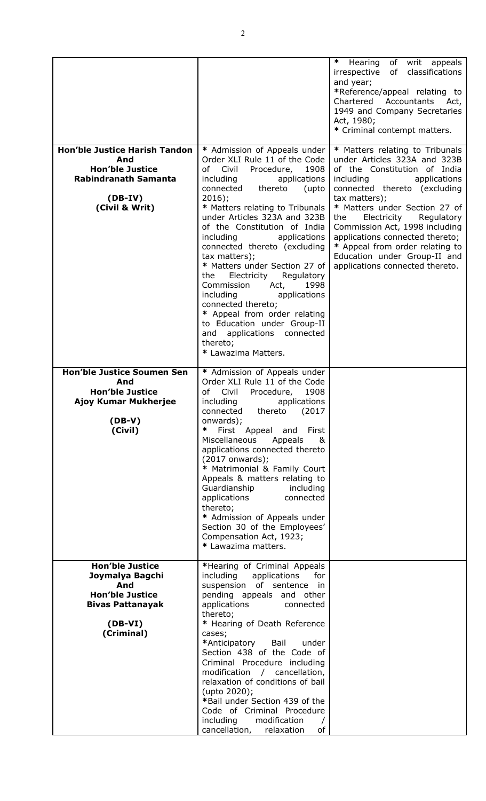| <b>Hon'ble Justice Harish Tandon</b><br>And<br><b>Hon'ble Justice</b><br><b>Rabindranath Samanta</b><br>$(DB-IV)$                           | * Admission of Appeals under<br>Order XLI Rule 11 of the Code<br>of Civil<br>Procedure,<br>1908<br>applications<br>including<br>connected<br>thereto<br>(upto<br>$2016$ ;                                                                                                                                                                                                                                                                                                                                                                                                                                  | ∗<br>of writ appeals<br>Hearing<br>of classifications<br>irrespective<br>and year;<br>*Reference/appeal relating to<br>Chartered<br>Accountants<br>Act,<br>1949 and Company Secretaries<br>Act, 1980;<br>* Criminal contempt matters.<br>* Matters relating to Tribunals<br>under Articles 323A and 323B<br>of the Constitution of India<br>including<br>applications<br>connected thereto (excluding<br>tax matters); |
|---------------------------------------------------------------------------------------------------------------------------------------------|------------------------------------------------------------------------------------------------------------------------------------------------------------------------------------------------------------------------------------------------------------------------------------------------------------------------------------------------------------------------------------------------------------------------------------------------------------------------------------------------------------------------------------------------------------------------------------------------------------|------------------------------------------------------------------------------------------------------------------------------------------------------------------------------------------------------------------------------------------------------------------------------------------------------------------------------------------------------------------------------------------------------------------------|
| (Civil & Writ)                                                                                                                              | * Matters relating to Tribunals<br>under Articles 323A and 323B<br>of the Constitution of India<br>including<br>applications<br>connected thereto (excluding<br>tax matters);<br>* Matters under Section 27 of<br>Electricity<br>Regulatory<br>the<br>Commission<br>1998<br>Act,<br>including<br>applications<br>connected thereto;<br>* Appeal from order relating<br>to Education under Group-II<br>and applications connected<br>thereto;<br>* Lawazima Matters.                                                                                                                                        | * Matters under Section 27 of<br>the<br>Electricity<br>Regulatory<br>Commission Act, 1998 including<br>applications connected thereto;<br>* Appeal from order relating to<br>Education under Group-II and<br>applications connected thereto.                                                                                                                                                                           |
| <b>Hon'ble Justice Soumen Sen</b><br>And<br><b>Hon'ble Justice</b><br>Ajoy Kumar Mukherjee<br>$(DB-V)$<br>(Civil)<br><b>Hon'ble Justice</b> | * Admission of Appeals under<br>Order XLI Rule 11 of the Code<br>Civil<br>Procedure,<br>1908<br>of<br>including<br>applications<br>connected<br>thereto<br>(2017<br>onwards);<br>∗<br>First Appeal<br>First<br>and<br><b>Miscellaneous</b><br>Appeals<br>&<br>applications connected thereto<br>$(2017$ onwards);<br>* Matrimonial & Family Court<br>Appeals & matters relating to<br>Guardianship<br>including<br>applications<br>connected<br>thereto;<br>* Admission of Appeals under<br>Section 30 of the Employees'<br>Compensation Act, 1923;<br>* Lawazima matters.<br>*Hearing of Criminal Appeals |                                                                                                                                                                                                                                                                                                                                                                                                                        |
| Joymalya Bagchi<br>And<br><b>Hon'ble Justice</b><br><b>Bivas Pattanayak</b><br>$(DB-VI)$<br>(Criminal)                                      | including<br>applications<br>for<br>suspension of sentence in<br>pending appeals and other<br>applications<br>connected<br>thereto;<br>* Hearing of Death Reference<br>cases;<br>*Anticipatory<br>Bail<br>under<br>Section 438 of the Code of<br>Criminal Procedure including<br>modification / cancellation,<br>relaxation of conditions of bail<br>(upto 2020);<br>*Bail under Section 439 of the<br>Code of Criminal Procedure<br>including<br>modification<br>cancellation,<br>of<br>relaxation                                                                                                        |                                                                                                                                                                                                                                                                                                                                                                                                                        |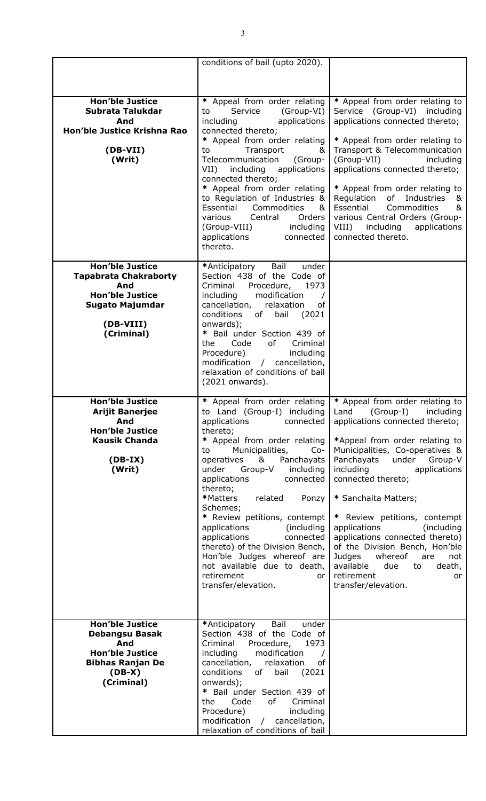|                                                                                                                                       | conditions of bail (upto 2020).                                                                                                                                                                                                                                                                                                                                                                                                                                                                                                                                      |                                                                                                                                                                                                                                                                                                                                                                                                                                                                                                                                             |
|---------------------------------------------------------------------------------------------------------------------------------------|----------------------------------------------------------------------------------------------------------------------------------------------------------------------------------------------------------------------------------------------------------------------------------------------------------------------------------------------------------------------------------------------------------------------------------------------------------------------------------------------------------------------------------------------------------------------|---------------------------------------------------------------------------------------------------------------------------------------------------------------------------------------------------------------------------------------------------------------------------------------------------------------------------------------------------------------------------------------------------------------------------------------------------------------------------------------------------------------------------------------------|
|                                                                                                                                       |                                                                                                                                                                                                                                                                                                                                                                                                                                                                                                                                                                      |                                                                                                                                                                                                                                                                                                                                                                                                                                                                                                                                             |
| <b>Hon'ble Justice</b><br>Subrata Talukdar<br>And<br>Hon'ble Justice Krishna Rao<br>(DB-VII)<br>(Writ)                                | * Appeal from order relating<br>Service<br>(Group-VI)<br>to<br>including<br>applications<br>connected thereto;<br>* Appeal from order relating<br>Transport<br>to<br>&<br>Telecommunication<br>(Group-<br>including<br>applications<br>$VII$ )<br>connected thereto;<br>* Appeal from order relating<br>to Regulation of Industries &<br>Essential<br>Commodities<br>&<br>Orders<br>various<br>Central<br>(Group-VIII)<br>including<br>applications<br>connected<br>thereto.                                                                                         | * Appeal from order relating to<br>Service (Group-VI) including<br>applications connected thereto;<br>* Appeal from order relating to<br>Transport & Telecommunication<br>(Group-VII)<br>including<br>applications connected thereto;<br>* Appeal from order relating to<br>Regulation<br>of Industries<br>&<br>Essential<br>Commodities<br>&<br>various Central Orders (Group-<br>VIII)<br>including<br>applications<br>connected thereto.                                                                                                 |
| <b>Hon'ble Justice</b><br><b>Tapabrata Chakraborty</b><br>And<br><b>Hon'ble Justice</b><br>Sugato Majumdar<br>(DB-VIII)<br>(Criminal) | Bail<br>under<br>*Anticipatory<br>Section 438 of the Code of<br>Criminal<br>Procedure,<br>1973<br>modification<br>including<br>cancellation,<br>relaxation<br>of<br>conditions<br>bail<br>of<br>(2021)<br>onwards);<br>* Bail under Section 439 of<br>Code<br>of<br>Criminal<br>the<br>Procedure)<br>including<br>modification / cancellation,<br>relaxation of conditions of bail<br>(2021 onwards).                                                                                                                                                                |                                                                                                                                                                                                                                                                                                                                                                                                                                                                                                                                             |
| <b>Hon'ble Justice</b><br><b>Arijit Banerjee</b><br>And<br><b>Hon'ble Justice</b><br><b>Kausik Chanda</b><br>$(DB-IX)$<br>(Writ)      | * Appeal from order relating<br>to Land (Group-I) including<br>applications<br>connected<br>thereto;<br>* Appeal from order relating<br>Municipalities,<br>to<br>$Co-$<br>&<br>operatives<br>Panchayats<br>under<br>Group-V<br>including<br>applications<br>connected<br>thereto;<br>*Matters<br>related<br>Ponzy<br>Schemes;<br>* Review petitions, contempt<br>applications<br>(including)<br>applications<br>connected<br>thereto) of the Division Bench,<br>Hon'ble Judges whereof are<br>not available due to death,<br>retirement<br>or<br>transfer/elevation. | * Appeal from order relating to<br>Land<br>(Group-I)<br>including<br>applications connected thereto;<br>*Appeal from order relating to<br>Municipalities, Co-operatives &<br>Panchayats<br>under<br>Group-V<br>including<br>applications<br>connected thereto;<br>* Sanchaita Matters;<br>* Review petitions, contempt<br>applications<br>(including<br>applications connected thereto)<br>of the Division Bench, Hon'ble<br>Judges<br>whereof<br>are<br>not<br>available<br>due<br>to<br>death,<br>retirement<br>or<br>transfer/elevation. |
| <b>Hon'ble Justice</b><br><b>Debangsu Basak</b><br>And<br><b>Hon'ble Justice</b><br><b>Bibhas Ranjan De</b><br>$(DB-X)$<br>(Criminal) | Bail<br>under<br>*Anticipatory<br>Section 438 of the Code of<br>Criminal<br>Procedure,<br>1973<br>including<br>modification<br>cancellation,<br>relaxation<br>of<br>conditions<br>bail<br>(2021)<br>of<br>onwards);<br>* Bail under Section 439 of<br>Code<br>of<br>Criminal<br>the<br>Procedure)<br>including<br>modification / cancellation,<br>relaxation of conditions of bail                                                                                                                                                                                   |                                                                                                                                                                                                                                                                                                                                                                                                                                                                                                                                             |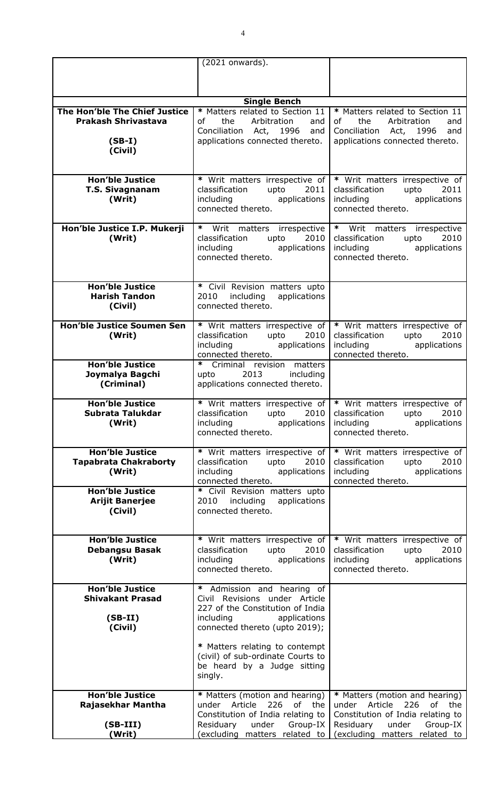|                                                                         | (2021 onwards).                                                                                                                                                                                                                                                                                                                                    |                                                                                                                                                                                                                                                                                                                                           |
|-------------------------------------------------------------------------|----------------------------------------------------------------------------------------------------------------------------------------------------------------------------------------------------------------------------------------------------------------------------------------------------------------------------------------------------|-------------------------------------------------------------------------------------------------------------------------------------------------------------------------------------------------------------------------------------------------------------------------------------------------------------------------------------------|
|                                                                         |                                                                                                                                                                                                                                                                                                                                                    |                                                                                                                                                                                                                                                                                                                                           |
|                                                                         |                                                                                                                                                                                                                                                                                                                                                    |                                                                                                                                                                                                                                                                                                                                           |
|                                                                         | <b>Single Bench</b>                                                                                                                                                                                                                                                                                                                                |                                                                                                                                                                                                                                                                                                                                           |
| The Hon'ble The Chief Justice<br><b>Prakash Shrivastava</b><br>$(SB-I)$ | * Matters related to Section 11<br>Arbitration<br>the<br>of<br>and<br>Conciliation Act, 1996<br>and<br>applications connected thereto.                                                                                                                                                                                                             | * Matters related to Section 11<br>Arbitration<br>the<br>of<br>and<br>Conciliation Act, 1996<br>and<br>applications connected thereto.                                                                                                                                                                                                    |
| (Civil)                                                                 |                                                                                                                                                                                                                                                                                                                                                    |                                                                                                                                                                                                                                                                                                                                           |
| <b>Hon'ble Justice</b><br><b>T.S. Sivagnanam</b><br>(Writ)              | * Writ matters irrespective of<br>2011<br>classification<br>upto<br>applications<br>including<br>connected thereto.                                                                                                                                                                                                                                | * Writ matters irrespective of<br>2011<br>classification<br>upto<br>including<br>applications<br>connected thereto.                                                                                                                                                                                                                       |
| Hon'ble Justice I.P. Mukerji<br>(Writ)                                  | * Writ matters irrespective<br>2010<br>classification<br>upto<br>including<br>applications<br>connected thereto.                                                                                                                                                                                                                                   | * Writ matters irrespective<br>2010<br>classification<br>upto<br>including<br>applications<br>connected thereto.                                                                                                                                                                                                                          |
| <b>Hon'ble Justice</b><br><b>Harish Tandon</b><br>(Civil)               | * Civil Revision matters upto<br>2010<br>including<br>applications<br>connected thereto.                                                                                                                                                                                                                                                           |                                                                                                                                                                                                                                                                                                                                           |
| <b>Hon'ble Justice Soumen Sen</b><br>(Writ)                             | * Writ matters irrespective of<br>classification<br>upto<br>2010<br>including<br>applications<br>connected thereto.                                                                                                                                                                                                                                | * Writ matters irrespective of<br>classification<br>upto<br>2010<br>including and the state of the state of the state of the state of the state of the state of the state of the state of the state of the state of the state of the state of the state of the state of the state of the state of t<br>applications<br>connected thereto. |
| <b>Hon'ble Justice</b><br>Joymalya Bagchi<br>(Criminal)                 | * Criminal revision matters<br>2013<br>including<br>upto<br>applications connected thereto.                                                                                                                                                                                                                                                        |                                                                                                                                                                                                                                                                                                                                           |
| <b>Hon'ble Justice</b><br>Subrata Talukdar<br>(Writ)                    | * Writ matters irrespective of  <br>classification<br>2010<br>upto<br>including<br>applications<br>connected thereto.                                                                                                                                                                                                                              | * Writ matters irrespective of<br>2010<br>classification<br>upto<br>including<br>applications<br>connected thereto.                                                                                                                                                                                                                       |
| <b>Hon'ble Justice</b><br><b>Tapabrata Chakraborty</b><br>(Writ)        | * Writ matters irrespective of<br>classification<br>upto<br>2010<br>including<br>applications<br>connected thereto.                                                                                                                                                                                                                                | * Writ matters irrespective of<br>classification<br>upto<br>2010<br>including<br>applications<br>connected thereto.                                                                                                                                                                                                                       |
| <b>Hon'ble Justice</b><br><b>Arijit Banerjee</b><br>(Civil)             | * Civil Revision matters upto<br>2010 including<br>applications<br>connected thereto.                                                                                                                                                                                                                                                              |                                                                                                                                                                                                                                                                                                                                           |
| <b>Hon'ble Justice</b><br><b>Debangsu Basak</b><br>(Writ)               | * Writ matters irrespective of<br>classification<br>upto<br>2010<br>including<br>applications<br>connected thereto.                                                                                                                                                                                                                                | * Writ matters irrespective of<br>classification<br>upto<br>2010<br>applications<br>including<br>connected thereto.                                                                                                                                                                                                                       |
| <b>Hon'ble Justice</b><br><b>Shivakant Prasad</b><br>$(SB-II)$          | * Admission and hearing of<br>Civil Revisions under Article<br>227 of the Constitution of India<br>applications<br>including and the state of the state of the state of the state of the state of the state of the state of the state of the state of the state of the state of the state of the state of the state of the state of the state of t |                                                                                                                                                                                                                                                                                                                                           |
| (Civil)                                                                 | connected thereto (upto 2019);<br>* Matters relating to contempt<br>(civil) of sub-ordinate Courts to<br>be heard by a Judge sitting<br>singly.                                                                                                                                                                                                    |                                                                                                                                                                                                                                                                                                                                           |
| <b>Hon'ble Justice</b><br>Rajasekhar Mantha<br>$(SB-III)$<br>(Writ)     | * Matters (motion and hearing)<br>226 of the<br>under Article<br>Constitution of India relating to<br>Residuary<br>under<br>Group-IX<br>(excluding matters related to                                                                                                                                                                              | * Matters (motion and hearing)<br>226<br>under Article<br>of the<br>Constitution of India relating to<br>under<br>Residuary<br>Group-IX<br>(excluding matters related to                                                                                                                                                                  |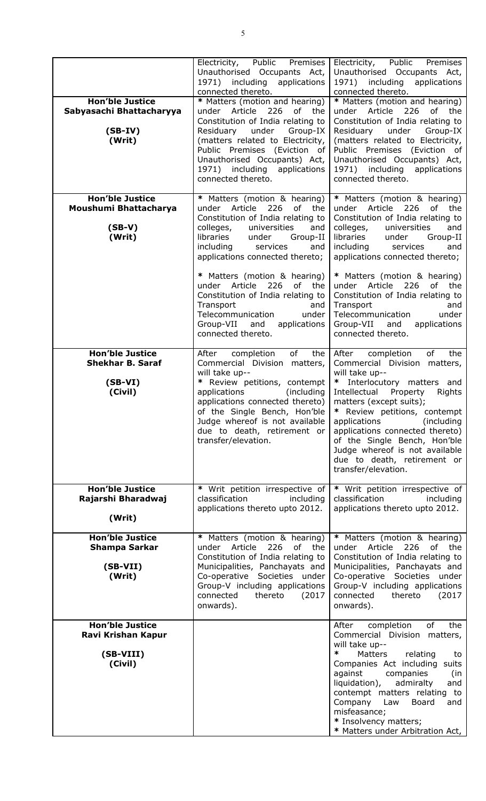|                                                | Electricity, Public<br>Premises<br>Unauthorised Occupants Act,<br>1971) including applications<br>connected thereto. | Electricity, Public<br>Premises<br>Unauthorised Occupants Act,<br>1971) including<br>applications<br>connected thereto. |
|------------------------------------------------|----------------------------------------------------------------------------------------------------------------------|-------------------------------------------------------------------------------------------------------------------------|
| <b>Hon'ble Justice</b>                         | * Matters (motion and hearing)                                                                                       | * Matters (motion and hearing)                                                                                          |
| Sabyasachi Bhattacharyya                       | under Article<br>226<br>of the                                                                                       | 226<br>under Article<br>of<br>the                                                                                       |
|                                                | Constitution of India relating to                                                                                    | Constitution of India relating to                                                                                       |
| $(SB-IV)$                                      | under<br>Group-IX<br>Residuary                                                                                       | under<br>Residuary<br>Group-IX                                                                                          |
| (Writ)                                         | (matters related to Electricity,                                                                                     | (matters related to Electricity,                                                                                        |
|                                                | Public Premises (Eviction of                                                                                         | Public Premises (Eviction of                                                                                            |
|                                                | Unauthorised Occupants) Act,<br>1971) including applications                                                         | Unauthorised Occupants) Act,<br>1971) including<br>applications                                                         |
|                                                | connected thereto.                                                                                                   | connected thereto.                                                                                                      |
|                                                |                                                                                                                      |                                                                                                                         |
| <b>Hon'ble Justice</b>                         | * Matters (motion & hearing)                                                                                         | * Matters (motion & hearing)                                                                                            |
| Moushumi Bhattacharya                          | under Article<br>226 of<br>the                                                                                       | 226<br>under Article<br>of the                                                                                          |
|                                                | Constitution of India relating to                                                                                    | Constitution of India relating to                                                                                       |
| $(SB-V)$<br>(Writ)                             | universities<br>colleges,<br>and<br>libraries<br>under<br>Group-II                                                   | colleges,<br>universities<br>and<br>libraries<br>under<br>Group-II                                                      |
|                                                | including<br>services<br>and                                                                                         | including<br>services<br>and                                                                                            |
|                                                | applications connected thereto;                                                                                      | applications connected thereto;                                                                                         |
|                                                |                                                                                                                      |                                                                                                                         |
|                                                | * Matters (motion & hearing)<br>under Article 226<br>of the                                                          | * Matters (motion & hearing)<br>under Article 226<br>of the                                                             |
|                                                | Constitution of India relating to                                                                                    | Constitution of India relating to                                                                                       |
|                                                | Transport<br>and                                                                                                     | Transport<br>and                                                                                                        |
|                                                | Telecommunication<br>under                                                                                           | Telecommunication<br>under                                                                                              |
|                                                | Group-VII<br>and<br>applications                                                                                     | Group-VII<br>and<br>applications                                                                                        |
|                                                | connected thereto.                                                                                                   | connected thereto.                                                                                                      |
| <b>Hon'ble Justice</b>                         | of<br>After<br>completion<br>the                                                                                     | the<br>After<br>completion<br>of                                                                                        |
| <b>Shekhar B. Saraf</b>                        | Commercial Division matters,                                                                                         | Commercial Division matters,                                                                                            |
|                                                | will take up--                                                                                                       | will take up--                                                                                                          |
| $(SB-VI)$<br>(Civil)                           | * Review petitions, contempt<br>applications<br>(including                                                           | * Interlocutory matters and<br>Intellectual<br>Rights<br>Property                                                       |
|                                                | applications connected thereto)                                                                                      | matters (except suits);                                                                                                 |
|                                                | of the Single Bench, Hon'ble                                                                                         | * Review petitions, contempt                                                                                            |
|                                                | Judge whereof is not available                                                                                       | (including<br>applications                                                                                              |
|                                                | due to death, retirement or                                                                                          | applications connected thereto)                                                                                         |
|                                                | transfer/elevation.                                                                                                  | of the Single Bench, Hon'ble<br>Judge whereof is not available                                                          |
|                                                |                                                                                                                      | due to death, retirement or                                                                                             |
|                                                |                                                                                                                      | transfer/elevation.                                                                                                     |
|                                                |                                                                                                                      |                                                                                                                         |
| <b>Hon'ble Justice</b><br>Rajarshi Bharadwaj   | * Writ petition irrespective of<br>classification<br>including                                                       | * Writ petition irrespective of<br>classification<br>including                                                          |
|                                                | applications thereto upto 2012.                                                                                      | applications thereto upto 2012.                                                                                         |
| (Writ)                                         |                                                                                                                      |                                                                                                                         |
|                                                |                                                                                                                      |                                                                                                                         |
| <b>Hon'ble Justice</b><br><b>Shampa Sarkar</b> | * Matters (motion & hearing)<br>under Article 226 of the                                                             | * Matters (motion & hearing)<br>under Article 226<br>of the                                                             |
|                                                | Constitution of India relating to                                                                                    | Constitution of India relating to                                                                                       |
| $(SB-VII)$                                     | Municipalities, Panchayats and                                                                                       | Municipalities, Panchayats and                                                                                          |
| (Writ)                                         | Co-operative Societies under                                                                                         | Co-operative Societies under                                                                                            |
|                                                | Group-V including applications                                                                                       | Group-V including applications                                                                                          |
|                                                | connected<br>thereto<br>(2017)<br>onwards).                                                                          | connected<br>thereto<br>(2017)<br>onwards).                                                                             |
|                                                |                                                                                                                      |                                                                                                                         |
| <b>Hon'ble Justice</b>                         |                                                                                                                      | the<br>After<br>completion<br>of                                                                                        |
| Ravi Krishan Kapur                             |                                                                                                                      | Commercial Division matters,<br>will take up--                                                                          |
| (SB-VIII)                                      |                                                                                                                      | ∗<br><b>Matters</b><br>relating<br>to                                                                                   |
| (Civil)                                        |                                                                                                                      | Companies Act including suits                                                                                           |
|                                                |                                                                                                                      | against<br>companies<br>(in                                                                                             |
|                                                |                                                                                                                      | liquidation),<br>admiralty<br>and                                                                                       |
|                                                |                                                                                                                      | contempt matters relating to                                                                                            |
|                                                |                                                                                                                      | Company<br>Board<br>Law<br>and<br>misfeasance;                                                                          |
|                                                |                                                                                                                      | * Insolvency matters;                                                                                                   |
|                                                |                                                                                                                      | * Matters under Arbitration Act,                                                                                        |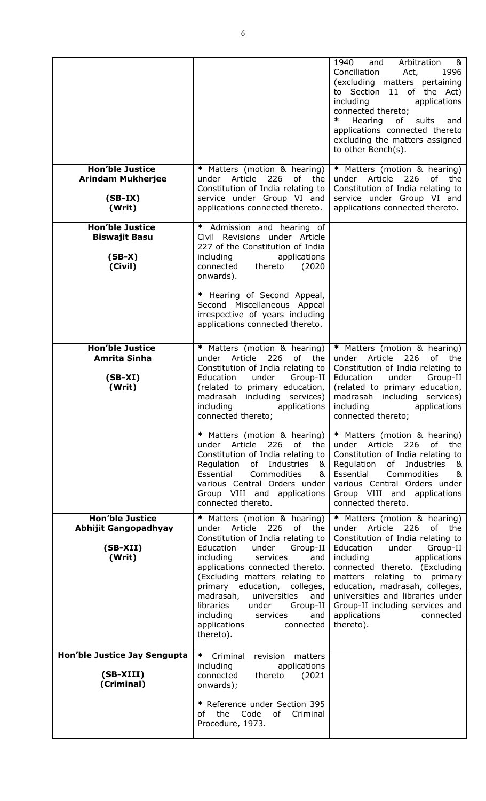|                                                                               |                                                                                                                                                                                                                                                                                                                                                                                                                            | 1940<br>Arbitration<br>&<br>and<br>Conciliation<br>1996<br>Act,<br>(excluding matters pertaining<br>to Section 11 of the Act)<br>including<br>applications<br>connected thereto;<br>∗<br>Hearing<br>of<br>suits<br>and<br>applications connected thereto<br>excluding the matters assigned<br>to other Bench(s).                                                                      |
|-------------------------------------------------------------------------------|----------------------------------------------------------------------------------------------------------------------------------------------------------------------------------------------------------------------------------------------------------------------------------------------------------------------------------------------------------------------------------------------------------------------------|---------------------------------------------------------------------------------------------------------------------------------------------------------------------------------------------------------------------------------------------------------------------------------------------------------------------------------------------------------------------------------------|
| <b>Hon'ble Justice</b><br><b>Arindam Mukherjee</b><br>$(SB-IX)$<br>(Writ)     | * Matters (motion & hearing)<br>Article<br>226<br>under<br>of<br>the<br>Constitution of India relating to<br>service under Group VI and<br>applications connected thereto.                                                                                                                                                                                                                                                 | * Matters (motion & hearing)<br>Article<br>226<br>of<br>the<br>under<br>Constitution of India relating to<br>service under Group VI and<br>applications connected thereto.                                                                                                                                                                                                            |
| <b>Hon'ble Justice</b><br><b>Biswajit Basu</b><br>$(SB-X)$<br>(Civil)         | Admission and hearing of<br>*<br>Civil Revisions under Article<br>227 of the Constitution of India<br>including<br>applications<br>connected<br>thereto<br>(2020)<br>onwards).<br>* Hearing of Second Appeal,<br>Second Miscellaneous Appeal<br>irrespective of years including                                                                                                                                            |                                                                                                                                                                                                                                                                                                                                                                                       |
|                                                                               | applications connected thereto.                                                                                                                                                                                                                                                                                                                                                                                            |                                                                                                                                                                                                                                                                                                                                                                                       |
| <b>Hon'ble Justice</b><br><b>Amrita Sinha</b><br>$(SB-XI)$<br>(Writ)          | * Matters (motion & hearing)<br>226<br>of the<br>under Article<br>Constitution of India relating to<br>under<br>Education<br>Group-II<br>(related to primary education,<br>madrasah including services)<br>including<br>applications<br>connected thereto;                                                                                                                                                                 | * Matters (motion & hearing)<br>226<br>under Article<br>of the<br>Constitution of India relating to<br>Education<br>under<br>Group-II<br>(related to primary education,<br>madrasah including services)<br>including<br>applications<br>connected thereto;                                                                                                                            |
|                                                                               | * Matters (motion & hearing)<br>under Article 226 of the<br>Constitution of India relating to<br>Regulation<br>of Industries<br>&<br>Essential<br>Commodities<br>&<br>various Central Orders under<br>Group VIII and applications<br>connected thereto.                                                                                                                                                                    | * Matters (motion & hearing)<br>under Article 226 of the<br>Constitution of India relating to<br>Regulation<br>of Industries<br>&<br>Essential<br>Commodities<br>&<br>various Central Orders under<br>Group VIII and applications<br>connected thereto.                                                                                                                               |
| <b>Hon'ble Justice</b><br><b>Abhijit Gangopadhyay</b><br>$(SB-XII)$<br>(Writ) | * Matters (motion & hearing)<br>226<br>of the<br>under Article<br>Constitution of India relating to<br>Education<br>under<br>Group-II<br>including<br>services<br>and<br>applications connected thereto.<br>(Excluding matters relating to<br>primary education, colleges,<br>madrasah,<br>universities<br>and<br>libraries<br>under<br>Group-II<br>including<br>services<br>and<br>applications<br>connected<br>thereto). | * Matters (motion & hearing)<br>226<br>under Article<br>of the<br>Constitution of India relating to<br>Education<br>Group-II<br>under<br>including<br>applications<br>connected thereto. (Excluding<br>matters relating to primary<br>education, madrasah, colleges,<br>universities and libraries under<br>Group-II including services and<br>applications<br>connected<br>thereto). |
| Hon'ble Justice Jay Sengupta<br>(SB-XIII)<br>(Criminal)                       | * Criminal<br>revision<br>matters<br>applications<br>including<br>connected<br>thereto<br>(2021)<br>onwards);<br>* Reference under Section 395<br>of the<br>Code<br>of Criminal<br>Procedure, 1973.                                                                                                                                                                                                                        |                                                                                                                                                                                                                                                                                                                                                                                       |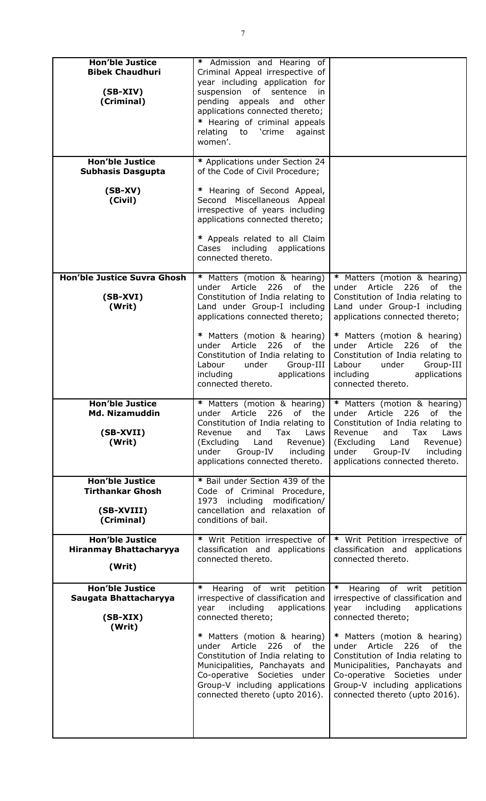| <b>Hon'ble Justice</b><br><b>Bibek Chaudhuri</b><br>$(SB-XIV)$<br>(Criminal)  | * Admission and Hearing of<br>Criminal Appeal irrespective of<br>year including application for<br>suspension of sentence<br>in.<br>pending appeals and other<br>applications connected thereto;<br>* Hearing of criminal appeals<br>relating to 'crime<br>against<br>women'.                                                                                                        |                                                                                                                                                                                                                                                                                                                                                                                |
|-------------------------------------------------------------------------------|--------------------------------------------------------------------------------------------------------------------------------------------------------------------------------------------------------------------------------------------------------------------------------------------------------------------------------------------------------------------------------------|--------------------------------------------------------------------------------------------------------------------------------------------------------------------------------------------------------------------------------------------------------------------------------------------------------------------------------------------------------------------------------|
| <b>Hon'ble Justice</b><br><b>Subhasis Dasgupta</b>                            | * Applications under Section 24<br>of the Code of Civil Procedure;                                                                                                                                                                                                                                                                                                                   |                                                                                                                                                                                                                                                                                                                                                                                |
| $(SB-XV)$<br>(Civil)                                                          | * Hearing of Second Appeal,<br>Second Miscellaneous Appeal<br>irrespective of years including<br>applications connected thereto;<br>* Appeals related to all Claim<br>Cases including applications<br>connected thereto.                                                                                                                                                             |                                                                                                                                                                                                                                                                                                                                                                                |
| <b>Hon'ble Justice Suvra Ghosh</b><br>$(SB-XVI)$<br>(Writ)                    | * Matters (motion & hearing)<br>under Article<br>226<br>of the<br>Constitution of India relating to<br>Land under Group-I including<br>applications connected thereto;                                                                                                                                                                                                               | * Matters (motion & hearing)<br>under Article<br>226<br>of the<br>Constitution of India relating to<br>Land under Group-I including<br>applications connected thereto;                                                                                                                                                                                                         |
|                                                                               | * Matters (motion & hearing)<br>under Article<br>226<br>of the<br>Constitution of India relating to<br>Labour<br>under<br>Group-III<br>including<br>applications<br>connected thereto.                                                                                                                                                                                               | * Matters (motion & hearing)<br>under Article<br>226<br>of the<br>Constitution of India relating to<br>Labour<br>Group-III<br>under<br>including<br>applications<br>connected thereto.                                                                                                                                                                                         |
| <b>Hon'ble Justice</b><br><b>Md. Nizamuddin</b><br>(SB-XVII)<br>(Writ)        | * Matters (motion & hearing)<br>under Article<br>226 of<br>the<br>Constitution of India relating to<br>Revenue<br>Tax<br>Laws<br>and<br>(Excluding<br>Land<br>Revenue)<br>under<br>Group-IV<br>including<br>applications connected thereto.                                                                                                                                          | * Matters (motion & hearing)<br>under Article<br>226 of the<br>Constitution of India relating to<br>Revenue<br>Laws<br>and<br>Tax<br>(Excluding<br>Revenue)<br>Land<br>under<br>Group-IV<br>including<br>applications connected thereto.                                                                                                                                       |
| <b>Hon'ble Justice</b><br><b>Tirthankar Ghosh</b><br>(SB-XVIII)<br>(Criminal) | * Bail under Section 439 of the<br>Code of Criminal Procedure,<br>1973 including modification/<br>cancellation and relaxation of<br>conditions of bail.                                                                                                                                                                                                                              |                                                                                                                                                                                                                                                                                                                                                                                |
| <b>Hon'ble Justice</b><br><b>Hiranmay Bhattacharyya</b><br>(Writ)             | * Writ Petition irrespective of<br>classification and applications<br>connected thereto.                                                                                                                                                                                                                                                                                             | * Writ Petition irrespective of<br>classification and applications<br>connected thereto.                                                                                                                                                                                                                                                                                       |
| <b>Hon'ble Justice</b><br>Saugata Bhattacharyya<br>$(SB-XIX)$<br>(Writ)       | ∗<br>of writ petition<br>Hearing<br>irrespective of classification and<br>including<br>applications<br>year<br>connected thereto;<br>* Matters (motion & hearing)<br>of<br>Article<br>226<br>the<br>under<br>Constitution of India relating to<br>Municipalities, Panchayats and<br>Co-operative Societies under<br>Group-V including applications<br>connected thereto (upto 2016). | of writ petition<br>∗<br>Hearing<br>irrespective of classification and<br>year<br>including<br>applications<br>connected thereto;<br>* Matters (motion & hearing)<br>under Article<br>226<br>of the<br>Constitution of India relating to<br>Municipalities, Panchayats and<br>Co-operative Societies under<br>Group-V including applications<br>connected thereto (upto 2016). |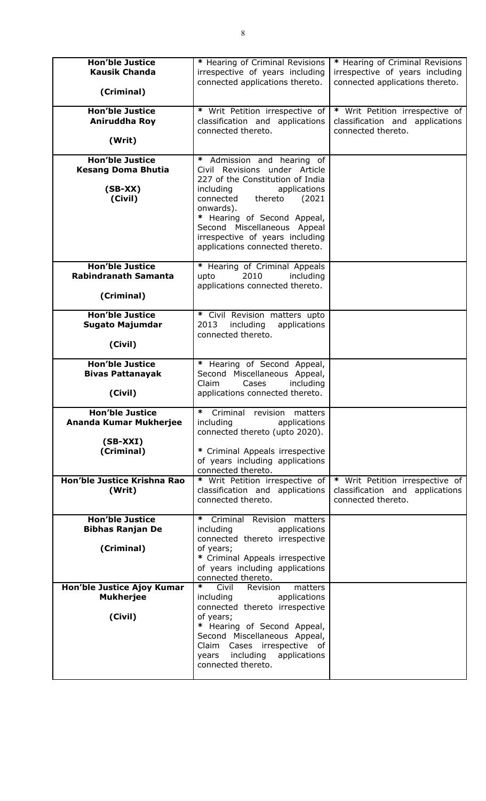| <b>Hon'ble Justice</b><br><b>Kausik Chanda</b><br>(Criminal)                                                | * Hearing of Criminal Revisions<br>irrespective of years including<br>connected applications thereto.                                                                                                                                                                                                              | * Hearing of Criminal Revisions<br>irrespective of years including<br>connected applications thereto. |
|-------------------------------------------------------------------------------------------------------------|--------------------------------------------------------------------------------------------------------------------------------------------------------------------------------------------------------------------------------------------------------------------------------------------------------------------|-------------------------------------------------------------------------------------------------------|
| <b>Hon'ble Justice</b><br>Aniruddha Roy<br>(Writ)                                                           | * Writ Petition irrespective of<br>classification and applications<br>connected thereto.                                                                                                                                                                                                                           | * Writ Petition irrespective of<br>classification and applications<br>connected thereto.              |
| <b>Hon'ble Justice</b><br><b>Kesang Doma Bhutia</b><br>$(SB-XX)$<br>(Civil)                                 | *<br>Admission and hearing of<br>Civil Revisions under Article<br>227 of the Constitution of India<br>applications<br>including<br>thereto<br>connected<br>(2021)<br>onwards).<br>* Hearing of Second Appeal,<br>Second Miscellaneous Appeal<br>irrespective of years including<br>applications connected thereto. |                                                                                                       |
| <b>Hon'ble Justice</b><br><b>Rabindranath Samanta</b><br>(Criminal)                                         | * Hearing of Criminal Appeals<br>2010<br>including<br>upto<br>applications connected thereto.                                                                                                                                                                                                                      |                                                                                                       |
| <b>Hon'ble Justice</b><br><b>Sugato Majumdar</b><br>(Civil)                                                 | * Civil Revision matters upto<br>2013<br>including<br>applications<br>connected thereto.                                                                                                                                                                                                                           |                                                                                                       |
| <b>Hon'ble Justice</b><br><b>Bivas Pattanayak</b><br>(Civil)                                                | * Hearing of Second Appeal,<br>Second Miscellaneous Appeal,<br>Claim<br>Cases<br>including<br>applications connected thereto.                                                                                                                                                                                      |                                                                                                       |
| <b>Hon'ble Justice</b><br>Ananda Kumar Mukherjee<br>$(SB-XXI)$<br>(Criminal)<br>Hon'ble Justice Krishna Rao | Criminal revision<br>matters<br>including<br>applications<br>connected thereto (upto 2020).<br>* Criminal Appeals irrespective<br>of years including applications<br>connected thereto.<br>* Writ Petition irrespective of                                                                                         | * Writ Petition irrespective of                                                                       |
| (Writ)<br><b>Hon'ble Justice</b>                                                                            | classification and applications<br>connected thereto.<br>∗<br>Criminal Revision<br>matters                                                                                                                                                                                                                         | classification and applications<br>connected thereto.                                                 |
| <b>Bibhas Ranjan De</b><br>(Criminal)                                                                       | including<br>applications<br>connected thereto irrespective<br>of years;<br>* Criminal Appeals irrespective<br>of years including applications<br>connected thereto.                                                                                                                                               |                                                                                                       |
| Hon'ble Justice Ajoy Kumar<br><b>Mukherjee</b><br>(Civil)                                                   | $\ast$<br>matters<br>Civil<br>Revision<br>including<br>applications<br>connected thereto irrespective<br>of years;<br>* Hearing of Second Appeal,<br>Second Miscellaneous Appeal,<br>Claim Cases irrespective of<br>including applications<br>years<br>connected thereto.                                          |                                                                                                       |